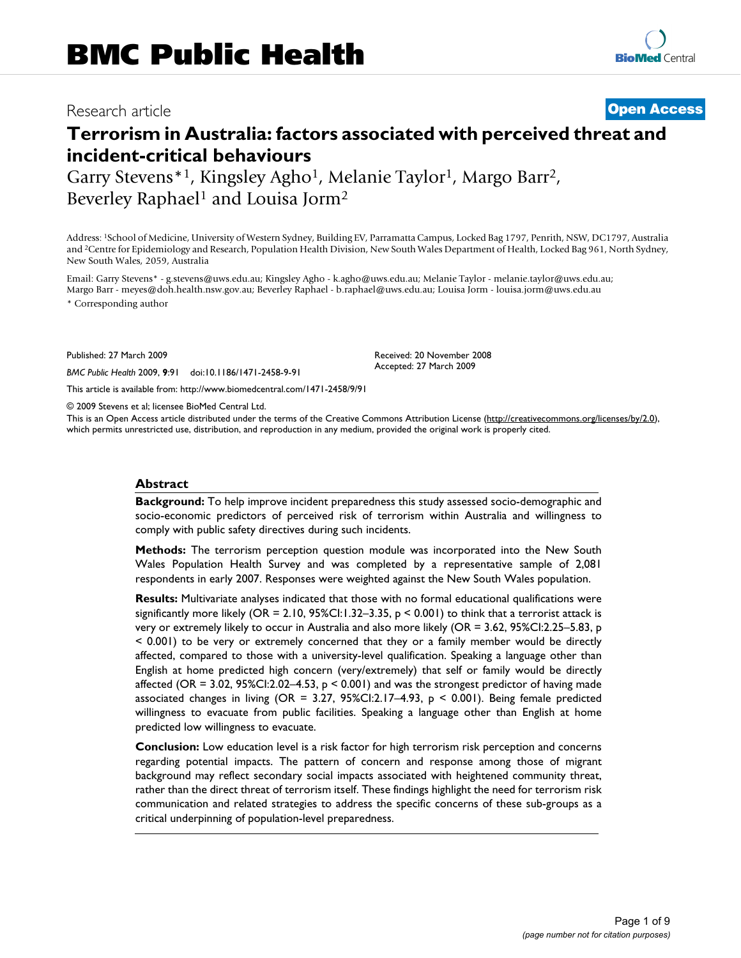# Research article **[Open Access](http://www.biomedcentral.com/info/about/charter/)**

# **Terrorism in Australia: factors associated with perceived threat and incident-critical behaviours**

Garry Stevens<sup>\*1</sup>, Kingsley Agho<sup>1</sup>, Melanie Taylor<sup>1</sup>, Margo Barr<sup>2</sup>, Beverley Raphael<sup>1</sup> and Louisa Jorm<sup>2</sup>

Address: 1School of Medicine, University of Western Sydney, Building EV, Parramatta Campus, Locked Bag 1797, Penrith, NSW, DC1797, Australia and 2Centre for Epidemiology and Research, Population Health Division, New South Wales Department of Health, Locked Bag 961, North Sydney, New South Wales, 2059, Australia

Email: Garry Stevens\* - g.stevens@uws.edu.au; Kingsley Agho - k.agho@uws.edu.au; Melanie Taylor - melanie.taylor@uws.edu.au; Margo Barr - meyes@doh.health.nsw.gov.au; Beverley Raphael - b.raphael@uws.edu.au; Louisa Jorm - louisa.jorm@uws.edu.au \* Corresponding author

Published: 27 March 2009

*BMC Public Health* 2009, **9**:91 doi:10.1186/1471-2458-9-91

[This article is available from: http://www.biomedcentral.com/1471-2458/9/91](http://www.biomedcentral.com/1471-2458/9/91)

© 2009 Stevens et al; licensee BioMed Central Ltd.

This is an Open Access article distributed under the terms of the Creative Commons Attribution License [\(http://creativecommons.org/licenses/by/2.0\)](http://creativecommons.org/licenses/by/2.0), which permits unrestricted use, distribution, and reproduction in any medium, provided the original work is properly cited.

Received: 20 November 2008 Accepted: 27 March 2009

#### **Abstract**

**Background:** To help improve incident preparedness this study assessed socio-demographic and socio-economic predictors of perceived risk of terrorism within Australia and willingness to comply with public safety directives during such incidents.

**Methods:** The terrorism perception question module was incorporated into the New South Wales Population Health Survey and was completed by a representative sample of 2,081 respondents in early 2007. Responses were weighted against the New South Wales population.

**Results:** Multivariate analyses indicated that those with no formal educational qualifications were significantly more likely (OR = 2.10, 95%CI:1.32-3.35,  $p < 0.001$ ) to think that a terrorist attack is very or extremely likely to occur in Australia and also more likely (OR = 3.62, 95%CI:2.25–5.83, p < 0.001) to be very or extremely concerned that they or a family member would be directly affected, compared to those with a university-level qualification. Speaking a language other than English at home predicted high concern (very/extremely) that self or family would be directly affected (OR = 3.02,  $95\%$ CI:2.02–4.53,  $p < 0.001$ ) and was the strongest predictor of having made associated changes in living ( $OR = 3.27$ ,  $95\%$ CI:2.17–4.93,  $p \le 0.001$ ). Being female predicted willingness to evacuate from public facilities. Speaking a language other than English at home predicted low willingness to evacuate.

**Conclusion:** Low education level is a risk factor for high terrorism risk perception and concerns regarding potential impacts. The pattern of concern and response among those of migrant background may reflect secondary social impacts associated with heightened community threat, rather than the direct threat of terrorism itself. These findings highlight the need for terrorism risk communication and related strategies to address the specific concerns of these sub-groups as a critical underpinning of population-level preparedness.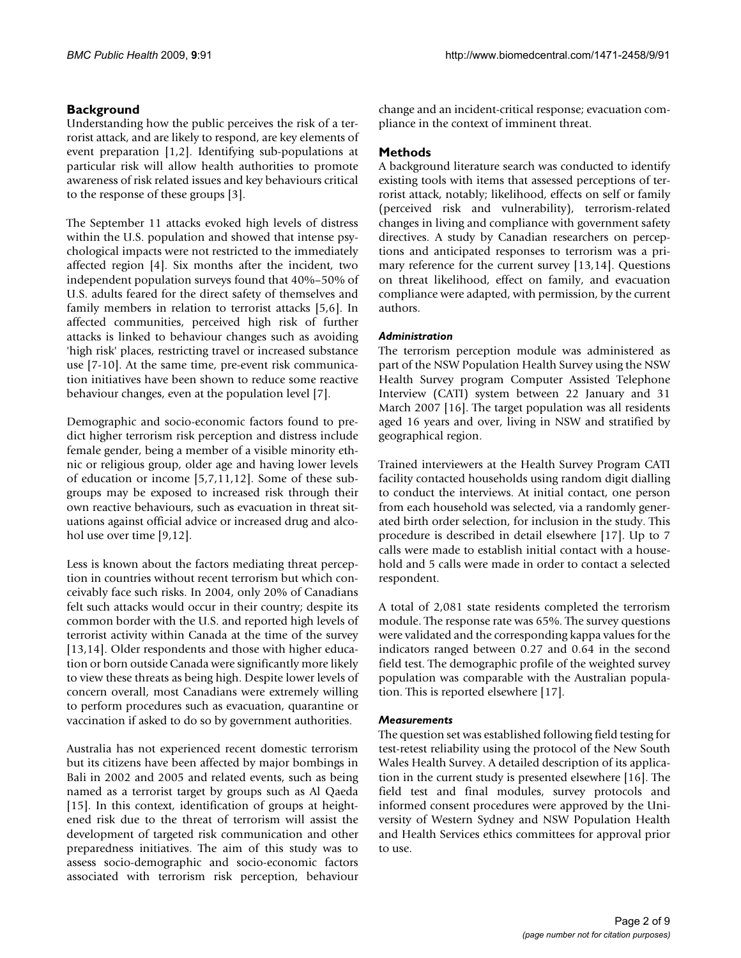### **Background**

Understanding how the public perceives the risk of a terrorist attack, and are likely to respond, are key elements of event preparation [1,2]. Identifying sub-populations at particular risk will allow health authorities to promote awareness of risk related issues and key behaviours critical to the response of these groups [3].

The September 11 attacks evoked high levels of distress within the U.S. population and showed that intense psychological impacts were not restricted to the immediately affected region [4]. Six months after the incident, two independent population surveys found that 40%–50% of U.S. adults feared for the direct safety of themselves and family members in relation to terrorist attacks [5,6]. In affected communities, perceived high risk of further attacks is linked to behaviour changes such as avoiding 'high risk' places, restricting travel or increased substance use [7-10]. At the same time, pre-event risk communication initiatives have been shown to reduce some reactive behaviour changes, even at the population level [7].

Demographic and socio-economic factors found to predict higher terrorism risk perception and distress include female gender, being a member of a visible minority ethnic or religious group, older age and having lower levels of education or income [5,7,11,12]. Some of these subgroups may be exposed to increased risk through their own reactive behaviours, such as evacuation in threat situations against official advice or increased drug and alcohol use over time [9,12].

Less is known about the factors mediating threat perception in countries without recent terrorism but which conceivably face such risks. In 2004, only 20% of Canadians felt such attacks would occur in their country; despite its common border with the U.S. and reported high levels of terrorist activity within Canada at the time of the survey [13,14]. Older respondents and those with higher education or born outside Canada were significantly more likely to view these threats as being high. Despite lower levels of concern overall, most Canadians were extremely willing to perform procedures such as evacuation, quarantine or vaccination if asked to do so by government authorities.

Australia has not experienced recent domestic terrorism but its citizens have been affected by major bombings in Bali in 2002 and 2005 and related events, such as being named as a terrorist target by groups such as Al Qaeda [15]. In this context, identification of groups at heightened risk due to the threat of terrorism will assist the development of targeted risk communication and other preparedness initiatives. The aim of this study was to assess socio-demographic and socio-economic factors associated with terrorism risk perception, behaviour change and an incident-critical response; evacuation compliance in the context of imminent threat.

# **Methods**

A background literature search was conducted to identify existing tools with items that assessed perceptions of terrorist attack, notably; likelihood, effects on self or family (perceived risk and vulnerability), terrorism-related changes in living and compliance with government safety directives. A study by Canadian researchers on perceptions and anticipated responses to terrorism was a primary reference for the current survey [13,14]. Questions on threat likelihood, effect on family, and evacuation compliance were adapted, with permission, by the current authors.

#### *Administration*

The terrorism perception module was administered as part of the NSW Population Health Survey using the NSW Health Survey program Computer Assisted Telephone Interview (CATI) system between 22 January and 31 March 2007 [16]. The target population was all residents aged 16 years and over, living in NSW and stratified by geographical region.

Trained interviewers at the Health Survey Program CATI facility contacted households using random digit dialling to conduct the interviews. At initial contact, one person from each household was selected, via a randomly generated birth order selection, for inclusion in the study. This procedure is described in detail elsewhere [17]. Up to 7 calls were made to establish initial contact with a household and 5 calls were made in order to contact a selected respondent.

A total of 2,081 state residents completed the terrorism module. The response rate was 65%. The survey questions were validated and the corresponding kappa values for the indicators ranged between 0.27 and 0.64 in the second field test. The demographic profile of the weighted survey population was comparable with the Australian population. This is reported elsewhere [17].

#### *Measurements*

The question set was established following field testing for test-retest reliability using the protocol of the New South Wales Health Survey. A detailed description of its application in the current study is presented elsewhere [16]. The field test and final modules, survey protocols and informed consent procedures were approved by the University of Western Sydney and NSW Population Health and Health Services ethics committees for approval prior to use.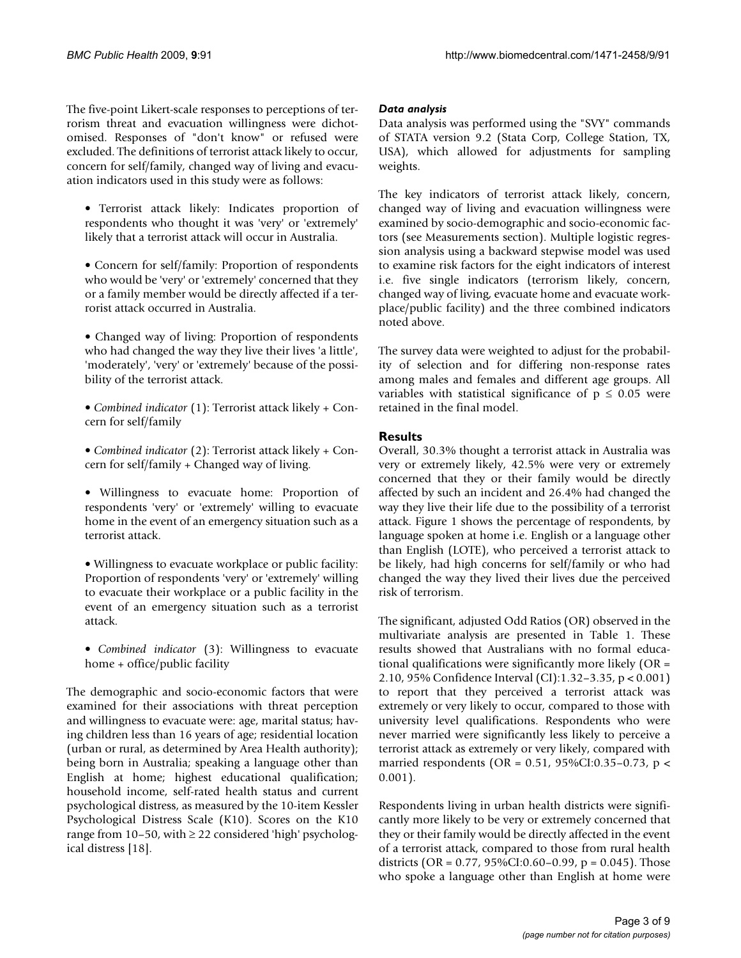The five-point Likert-scale responses to perceptions of terrorism threat and evacuation willingness were dichotomised. Responses of "don't know" or refused were excluded. The definitions of terrorist attack likely to occur, concern for self/family, changed way of living and evacuation indicators used in this study were as follows:

- Terrorist attack likely: Indicates proportion of respondents who thought it was 'very' or 'extremely' likely that a terrorist attack will occur in Australia.
- Concern for self/family: Proportion of respondents who would be 'very' or 'extremely' concerned that they or a family member would be directly affected if a terrorist attack occurred in Australia.
- Changed way of living: Proportion of respondents who had changed the way they live their lives 'a little', 'moderately', 'very' or 'extremely' because of the possibility of the terrorist attack.
- *Combined indicator* (1): Terrorist attack likely + Concern for self/family
- *Combined indicator* (2): Terrorist attack likely + Concern for self/family + Changed way of living.
- Willingness to evacuate home: Proportion of respondents 'very' or 'extremely' willing to evacuate home in the event of an emergency situation such as a terrorist attack.
- Willingness to evacuate workplace or public facility: Proportion of respondents 'very' or 'extremely' willing to evacuate their workplace or a public facility in the event of an emergency situation such as a terrorist attack.
- *Combined indicator* (3): Willingness to evacuate home + office/public facility

The demographic and socio-economic factors that were examined for their associations with threat perception and willingness to evacuate were: age, marital status; having children less than 16 years of age; residential location (urban or rural, as determined by Area Health authority); being born in Australia; speaking a language other than English at home; highest educational qualification; household income, self-rated health status and current psychological distress, as measured by the 10-item Kessler Psychological Distress Scale (K10). Scores on the K10 range from 10–50, with  $\geq$  22 considered 'high' psychological distress [18].

#### *Data analysis*

Data analysis was performed using the "SVY" commands of STATA version 9.2 (Stata Corp, College Station, TX, USA), which allowed for adjustments for sampling weights.

The key indicators of terrorist attack likely, concern, changed way of living and evacuation willingness were examined by socio-demographic and socio-economic factors (see Measurements section). Multiple logistic regression analysis using a backward stepwise model was used to examine risk factors for the eight indicators of interest i.e. five single indicators (terrorism likely, concern, changed way of living, evacuate home and evacuate workplace/public facility) and the three combined indicators noted above.

The survey data were weighted to adjust for the probability of selection and for differing non-response rates among males and females and different age groups. All variables with statistical significance of  $p \le 0.05$  were retained in the final model.

#### **Results**

Overall, 30.3% thought a terrorist attack in Australia was very or extremely likely, 42.5% were very or extremely concerned that they or their family would be directly affected by such an incident and 26.4% had changed the way they live their life due to the possibility of a terrorist attack. Figure 1 shows the percentage of respondents, by language spoken at home i.e. English or a language other than English (LOTE), who perceived a terrorist attack to be likely, had high concerns for self/family or who had changed the way they lived their lives due the perceived risk of terrorism.

The significant, adjusted Odd Ratios (OR) observed in the multivariate analysis are presented in Table 1. These results showed that Australians with no formal educational qualifications were significantly more likely (OR = 2.10, 95% Confidence Interval (CI):1.32–3.35, p < 0.001) to report that they perceived a terrorist attack was extremely or very likely to occur, compared to those with university level qualifications. Respondents who were never married were significantly less likely to perceive a terrorist attack as extremely or very likely, compared with married respondents (OR = 0.51, 95%CI:0.35–0.73, p < 0.001).

Respondents living in urban health districts were significantly more likely to be very or extremely concerned that they or their family would be directly affected in the event of a terrorist attack, compared to those from rural health districts (OR =  $0.77$ , 95%CI:0.60–0.99, p = 0.045). Those who spoke a language other than English at home were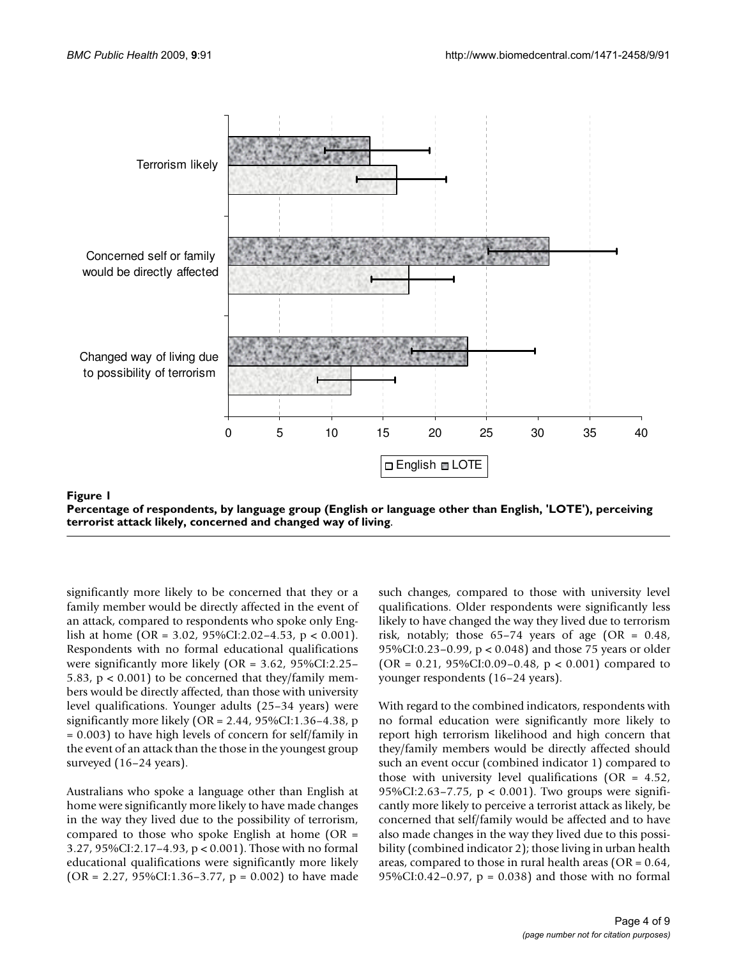

**Percentage of respondents, by language group (English or language other than English, 'LOTE'), perceiving terrorist attack likely, concerned and changed way of living**.

significantly more likely to be concerned that they or a family member would be directly affected in the event of an attack, compared to respondents who spoke only English at home (OR = 3.02, 95%CI:2.02–4.53,  $p < 0.001$ ). Respondents with no formal educational qualifications were significantly more likely (OR = 3.62, 95%CI:2.25– 5.83, p < 0.001) to be concerned that they/family members would be directly affected, than those with university level qualifications. Younger adults (25–34 years) were significantly more likely ( $OR = 2.44$ ,  $95\%CI:1.36-4.38$ , p = 0.003) to have high levels of concern for self/family in the event of an attack than the those in the youngest group surveyed (16–24 years).

Australians who spoke a language other than English at home were significantly more likely to have made changes in the way they lived due to the possibility of terrorism, compared to those who spoke English at home (OR = 3.27, 95%CI:2.17–4.93, p < 0.001). Those with no formal educational qualifications were significantly more likely  $(OR = 2.27, 95\% CI: 1.36-3.77, p = 0.002)$  to have made such changes, compared to those with university level qualifications. Older respondents were significantly less likely to have changed the way they lived due to terrorism risk, notably; those  $65-74$  years of age (OR = 0.48, 95%CI:0.23–0.99, p < 0.048) and those 75 years or older  $(OR = 0.21, 95\% CI: 0.09 - 0.48, p < 0.001)$  compared to younger respondents (16–24 years).

With regard to the combined indicators, respondents with no formal education were significantly more likely to report high terrorism likelihood and high concern that they/family members would be directly affected should such an event occur (combined indicator 1) compared to those with university level qualifications (OR = 4.52, 95%CI:2.63–7.75, p < 0.001). Two groups were significantly more likely to perceive a terrorist attack as likely, be concerned that self/family would be affected and to have also made changes in the way they lived due to this possibility (combined indicator 2); those living in urban health areas, compared to those in rural health areas (OR = 0.64, 95%CI:0.42–0.97, p = 0.038) and those with no formal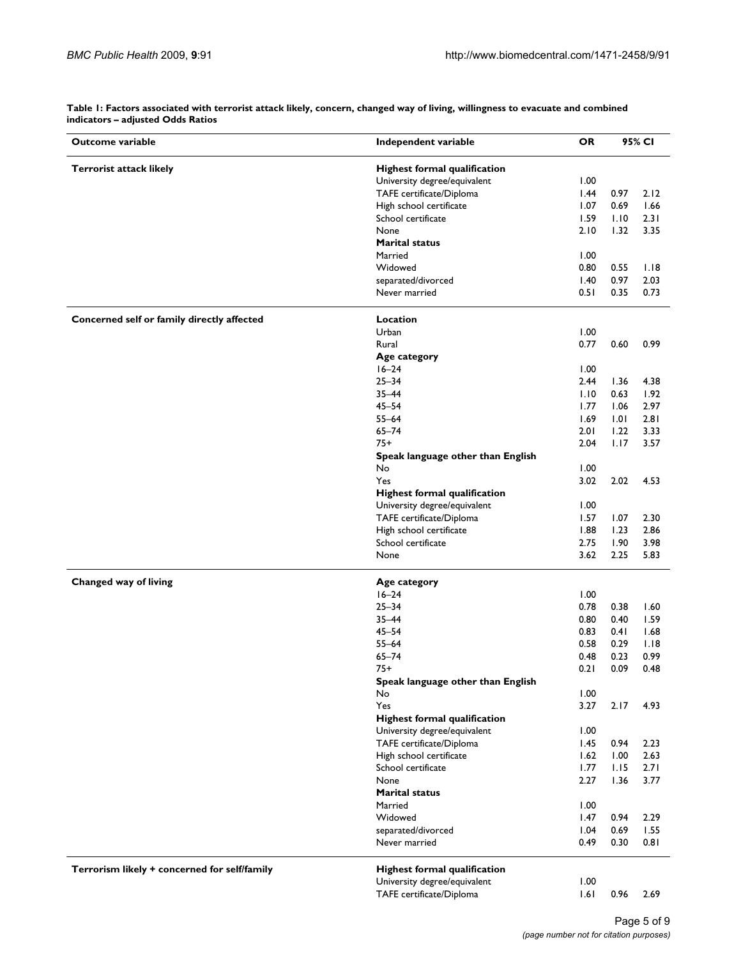| Outcome variable<br><b>Terrorist attack likely</b> | Independent variable<br><b>Highest formal qualification</b> | <b>OR</b> | 95% CI |      |
|----------------------------------------------------|-------------------------------------------------------------|-----------|--------|------|
|                                                    |                                                             |           |        |      |
|                                                    | University degree/equivalent                                | 1.00      |        |      |
|                                                    | TAFE certificate/Diploma                                    | 1.44      | 0.97   | 2.12 |
|                                                    | High school certificate                                     | 1.07      | 0.69   | 1.66 |
|                                                    | School certificate                                          | 1.59      | 1.10   | 2.31 |
|                                                    | None                                                        | 2.10      | 1.32   | 3.35 |
|                                                    | <b>Marital status</b>                                       |           |        |      |
|                                                    | Married                                                     | 1.00      |        |      |
|                                                    | Widowed                                                     |           |        |      |
|                                                    |                                                             | 0.80      | 0.55   | 1.18 |
|                                                    | separated/divorced                                          | 1.40      | 0.97   | 2.03 |
|                                                    | Never married                                               | 0.51      | 0.35   | 0.73 |
| Concerned self or family directly affected         | Location                                                    |           |        |      |
|                                                    | Urban                                                       | 1.00      |        |      |
|                                                    | Rural                                                       | 0.77      | 0.60   | 0.99 |
|                                                    | Age category                                                |           |        |      |
|                                                    | $16 - 24$                                                   | 1.00      |        |      |
|                                                    | $25 - 34$                                                   | 2.44      | 1.36   | 4.38 |
|                                                    | $35 - 44$                                                   | 1.10      | 0.63   | 1.92 |
|                                                    | $45 - 54$                                                   | 1.77      | 1.06   | 2.97 |
|                                                    | $55 - 64$                                                   | 1.69      | 1.01   | 2.81 |
|                                                    | $65 - 74$                                                   | 2.01      | 1.22   | 3.33 |
|                                                    | $75+$                                                       | 2.04      | 1.17   | 3.57 |
|                                                    | Speak language other than English                           |           |        |      |
|                                                    | No                                                          | 1.00      |        |      |
|                                                    | Yes                                                         | 3.02      | 2.02   | 4.53 |
|                                                    |                                                             |           |        |      |
|                                                    | <b>Highest formal qualification</b>                         |           |        |      |
|                                                    | University degree/equivalent                                | 1.00      |        |      |
|                                                    | TAFE certificate/Diploma                                    | 1.57      | 1.07   | 2.30 |
|                                                    | High school certificate                                     | 1.88      | 1.23   | 2.86 |
|                                                    | School certificate                                          | 2.75      | 1.90   | 3.98 |
|                                                    | None                                                        | 3.62      | 2.25   | 5.83 |
| Changed way of living                              | Age category                                                |           |        |      |
|                                                    | $16 - 24$                                                   | 1.00      |        |      |
|                                                    | $25 - 34$                                                   | 0.78      | 0.38   | 1.60 |
|                                                    | $35 - 44$                                                   | 0.80      | 0.40   | 1.59 |
|                                                    | $45 - 54$                                                   | 0.83      | 0.41   | 1.68 |
|                                                    | $55 - 64$                                                   | 0.58      | 0.29   | 1.18 |
|                                                    | $65 - 74$                                                   | 0.48      | 0.23   | 0.99 |
|                                                    | $75+$                                                       | 0.21      | 0.09   | 0.48 |
|                                                    | Speak language other than English                           |           |        |      |
|                                                    | No                                                          | 1.00      |        |      |
|                                                    | Yes                                                         | 3.27      | 2.17   | 4.93 |
|                                                    | <b>Highest formal qualification</b>                         |           |        |      |
|                                                    | University degree/equivalent                                | 1.00      |        |      |
|                                                    | TAFE certificate/Diploma                                    | 1.45      | 0.94   | 2.23 |
|                                                    | High school certificate                                     | 1.62      | 1.00   | 2.63 |
|                                                    |                                                             |           |        |      |
|                                                    | School certificate                                          | 1.77      | 1.15   | 2.71 |
|                                                    | None                                                        | 2.27      | 1.36   | 3.77 |
|                                                    | <b>Marital status</b>                                       |           |        |      |
|                                                    | Married                                                     | 1.00      |        |      |
|                                                    | Widowed                                                     | 1.47      | 0.94   | 2.29 |
|                                                    | separated/divorced                                          | 1.04      | 0.69   | 1.55 |
|                                                    | Never married                                               | 0.49      | 0.30   | 0.81 |
| Terrorism likely + concerned for self/family       | <b>Highest formal qualification</b>                         |           |        |      |
|                                                    | University degree/equivalent                                | 1.00      |        |      |
|                                                    | TAFE certificate/Diploma                                    | 1.61      | 0.96   | 2.69 |

**Table 1: Factors associated with terrorist attack likely, concern, changed way of living, willingness to evacuate and combined indicators – adjusted Odds Ratios**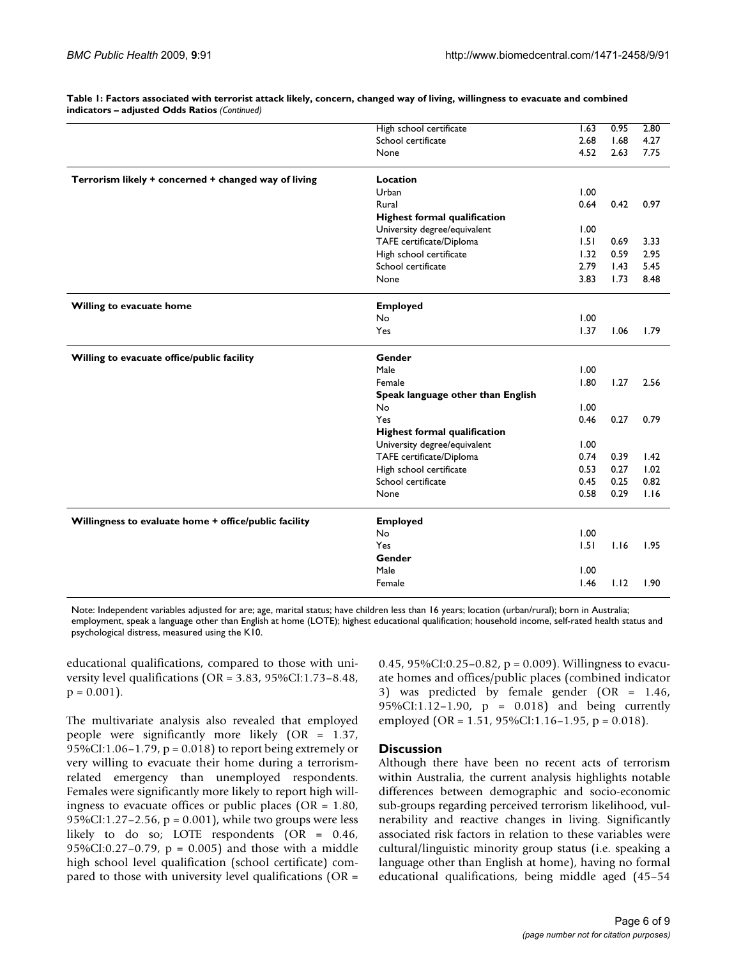| School certificate<br>2.68<br>1.68<br>4.27<br>4.52<br>2.63<br>7.75<br>None<br>Terrorism likely + concerned + changed way of living<br><b>Location</b><br>Urban<br>1.00<br>Rural<br>0.64<br>0.97<br>0.42<br><b>Highest formal qualification</b><br>University degree/equivalent<br>1.00<br>TAFE certificate/Diploma<br>1.51<br>0.69<br>3.33<br>High school certificate<br>1.32<br>0.59<br>2.95<br>School certificate<br>2.79<br>1.43<br>5.45<br>None<br>3.83<br>1.73<br>8.48<br><b>Employed</b><br>Willing to evacuate home<br><b>No</b><br>1.00<br>Yes<br>1.37<br>1.06<br>1.79<br>Gender<br>Willing to evacuate office/public facility<br>Male<br>1.00<br>1.80<br>Female<br>1.27<br>2.56<br>Speak language other than English<br>1.00<br>No<br>Yes<br>0.27<br>0.46<br>0.79<br><b>Highest formal qualification</b><br>University degree/equivalent<br>1.00<br>TAFE certificate/Diploma<br>0.74<br>0.39<br>1.42<br>High school certificate<br>0.27<br>0.53<br>1.02<br>School certificate<br>0.25<br>0.82<br>0.45<br>0.58<br>0.29<br>1.16<br>None<br>Willingness to evaluate home + office/public facility<br><b>Employed</b><br>No<br>1.00<br>Yes<br>1.51<br>1.16<br>1.95<br>Gender<br>Male<br>1.00<br>Female<br>1.46<br>1.12<br>1.90 |  | High school certificate | 1.63 | 0.95 | 2.80 |
|-------------------------------------------------------------------------------------------------------------------------------------------------------------------------------------------------------------------------------------------------------------------------------------------------------------------------------------------------------------------------------------------------------------------------------------------------------------------------------------------------------------------------------------------------------------------------------------------------------------------------------------------------------------------------------------------------------------------------------------------------------------------------------------------------------------------------------------------------------------------------------------------------------------------------------------------------------------------------------------------------------------------------------------------------------------------------------------------------------------------------------------------------------------------------------------------------------------------------------------|--|-------------------------|------|------|------|
|                                                                                                                                                                                                                                                                                                                                                                                                                                                                                                                                                                                                                                                                                                                                                                                                                                                                                                                                                                                                                                                                                                                                                                                                                                     |  |                         |      |      |      |
|                                                                                                                                                                                                                                                                                                                                                                                                                                                                                                                                                                                                                                                                                                                                                                                                                                                                                                                                                                                                                                                                                                                                                                                                                                     |  |                         |      |      |      |
|                                                                                                                                                                                                                                                                                                                                                                                                                                                                                                                                                                                                                                                                                                                                                                                                                                                                                                                                                                                                                                                                                                                                                                                                                                     |  |                         |      |      |      |
|                                                                                                                                                                                                                                                                                                                                                                                                                                                                                                                                                                                                                                                                                                                                                                                                                                                                                                                                                                                                                                                                                                                                                                                                                                     |  |                         |      |      |      |
|                                                                                                                                                                                                                                                                                                                                                                                                                                                                                                                                                                                                                                                                                                                                                                                                                                                                                                                                                                                                                                                                                                                                                                                                                                     |  |                         |      |      |      |
|                                                                                                                                                                                                                                                                                                                                                                                                                                                                                                                                                                                                                                                                                                                                                                                                                                                                                                                                                                                                                                                                                                                                                                                                                                     |  |                         |      |      |      |
|                                                                                                                                                                                                                                                                                                                                                                                                                                                                                                                                                                                                                                                                                                                                                                                                                                                                                                                                                                                                                                                                                                                                                                                                                                     |  |                         |      |      |      |
|                                                                                                                                                                                                                                                                                                                                                                                                                                                                                                                                                                                                                                                                                                                                                                                                                                                                                                                                                                                                                                                                                                                                                                                                                                     |  |                         |      |      |      |
|                                                                                                                                                                                                                                                                                                                                                                                                                                                                                                                                                                                                                                                                                                                                                                                                                                                                                                                                                                                                                                                                                                                                                                                                                                     |  |                         |      |      |      |
|                                                                                                                                                                                                                                                                                                                                                                                                                                                                                                                                                                                                                                                                                                                                                                                                                                                                                                                                                                                                                                                                                                                                                                                                                                     |  |                         |      |      |      |
|                                                                                                                                                                                                                                                                                                                                                                                                                                                                                                                                                                                                                                                                                                                                                                                                                                                                                                                                                                                                                                                                                                                                                                                                                                     |  |                         |      |      |      |
|                                                                                                                                                                                                                                                                                                                                                                                                                                                                                                                                                                                                                                                                                                                                                                                                                                                                                                                                                                                                                                                                                                                                                                                                                                     |  |                         |      |      |      |
|                                                                                                                                                                                                                                                                                                                                                                                                                                                                                                                                                                                                                                                                                                                                                                                                                                                                                                                                                                                                                                                                                                                                                                                                                                     |  |                         |      |      |      |
|                                                                                                                                                                                                                                                                                                                                                                                                                                                                                                                                                                                                                                                                                                                                                                                                                                                                                                                                                                                                                                                                                                                                                                                                                                     |  |                         |      |      |      |
|                                                                                                                                                                                                                                                                                                                                                                                                                                                                                                                                                                                                                                                                                                                                                                                                                                                                                                                                                                                                                                                                                                                                                                                                                                     |  |                         |      |      |      |
|                                                                                                                                                                                                                                                                                                                                                                                                                                                                                                                                                                                                                                                                                                                                                                                                                                                                                                                                                                                                                                                                                                                                                                                                                                     |  |                         |      |      |      |
|                                                                                                                                                                                                                                                                                                                                                                                                                                                                                                                                                                                                                                                                                                                                                                                                                                                                                                                                                                                                                                                                                                                                                                                                                                     |  |                         |      |      |      |
|                                                                                                                                                                                                                                                                                                                                                                                                                                                                                                                                                                                                                                                                                                                                                                                                                                                                                                                                                                                                                                                                                                                                                                                                                                     |  |                         |      |      |      |
|                                                                                                                                                                                                                                                                                                                                                                                                                                                                                                                                                                                                                                                                                                                                                                                                                                                                                                                                                                                                                                                                                                                                                                                                                                     |  |                         |      |      |      |
|                                                                                                                                                                                                                                                                                                                                                                                                                                                                                                                                                                                                                                                                                                                                                                                                                                                                                                                                                                                                                                                                                                                                                                                                                                     |  |                         |      |      |      |
|                                                                                                                                                                                                                                                                                                                                                                                                                                                                                                                                                                                                                                                                                                                                                                                                                                                                                                                                                                                                                                                                                                                                                                                                                                     |  |                         |      |      |      |
|                                                                                                                                                                                                                                                                                                                                                                                                                                                                                                                                                                                                                                                                                                                                                                                                                                                                                                                                                                                                                                                                                                                                                                                                                                     |  |                         |      |      |      |
|                                                                                                                                                                                                                                                                                                                                                                                                                                                                                                                                                                                                                                                                                                                                                                                                                                                                                                                                                                                                                                                                                                                                                                                                                                     |  |                         |      |      |      |
|                                                                                                                                                                                                                                                                                                                                                                                                                                                                                                                                                                                                                                                                                                                                                                                                                                                                                                                                                                                                                                                                                                                                                                                                                                     |  |                         |      |      |      |
|                                                                                                                                                                                                                                                                                                                                                                                                                                                                                                                                                                                                                                                                                                                                                                                                                                                                                                                                                                                                                                                                                                                                                                                                                                     |  |                         |      |      |      |
|                                                                                                                                                                                                                                                                                                                                                                                                                                                                                                                                                                                                                                                                                                                                                                                                                                                                                                                                                                                                                                                                                                                                                                                                                                     |  |                         |      |      |      |
|                                                                                                                                                                                                                                                                                                                                                                                                                                                                                                                                                                                                                                                                                                                                                                                                                                                                                                                                                                                                                                                                                                                                                                                                                                     |  |                         |      |      |      |
|                                                                                                                                                                                                                                                                                                                                                                                                                                                                                                                                                                                                                                                                                                                                                                                                                                                                                                                                                                                                                                                                                                                                                                                                                                     |  |                         |      |      |      |
|                                                                                                                                                                                                                                                                                                                                                                                                                                                                                                                                                                                                                                                                                                                                                                                                                                                                                                                                                                                                                                                                                                                                                                                                                                     |  |                         |      |      |      |
|                                                                                                                                                                                                                                                                                                                                                                                                                                                                                                                                                                                                                                                                                                                                                                                                                                                                                                                                                                                                                                                                                                                                                                                                                                     |  |                         |      |      |      |
|                                                                                                                                                                                                                                                                                                                                                                                                                                                                                                                                                                                                                                                                                                                                                                                                                                                                                                                                                                                                                                                                                                                                                                                                                                     |  |                         |      |      |      |
|                                                                                                                                                                                                                                                                                                                                                                                                                                                                                                                                                                                                                                                                                                                                                                                                                                                                                                                                                                                                                                                                                                                                                                                                                                     |  |                         |      |      |      |

**Table 1: Factors associated with terrorist attack likely, concern, changed way of living, willingness to evacuate and combined indicators – adjusted Odds Ratios** *(Continued)*

Note: Independent variables adjusted for are; age, marital status; have children less than 16 years; location (urban/rural); born in Australia; employment, speak a language other than English at home (LOTE); highest educational qualification; household income, self-rated health status and psychological distress, measured using the K10.

educational qualifications, compared to those with university level qualifications (OR = 3.83, 95%CI:1.73–8.48,  $p = 0.001$ .

The multivariate analysis also revealed that employed people were significantly more likely (OR = 1.37, 95%CI:1.06–1.79,  $p = 0.018$ ) to report being extremely or very willing to evacuate their home during a terrorismrelated emergency than unemployed respondents. Females were significantly more likely to report high willingness to evacuate offices or public places ( $OR = 1.80$ , 95%CI:1.27–2.56,  $p = 0.001$ , while two groups were less likely to do so; LOTE respondents (OR = 0.46, 95%CI:0.27–0.79,  $p = 0.005$  and those with a middle high school level qualification (school certificate) compared to those with university level qualifications (OR =

0.45, 95%CI:0.25–0.82, p = 0.009). Willingness to evacuate homes and offices/public places (combined indicator 3) was predicted by female gender (OR = 1.46, 95%CI:1.12–1.90, p = 0.018) and being currently employed (OR = 1.51, 95%CI:1.16-1.95, p = 0.018).

#### **Discussion**

Although there have been no recent acts of terrorism within Australia, the current analysis highlights notable differences between demographic and socio-economic sub-groups regarding perceived terrorism likelihood, vulnerability and reactive changes in living. Significantly associated risk factors in relation to these variables were cultural/linguistic minority group status (i.e. speaking a language other than English at home), having no formal educational qualifications, being middle aged (45–54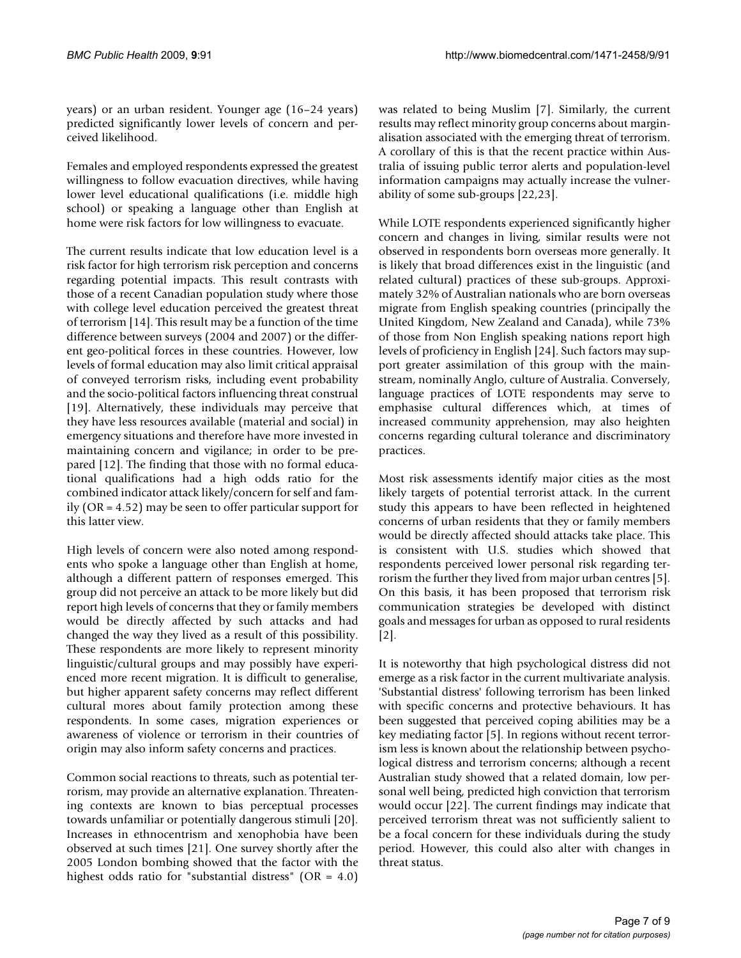years) or an urban resident. Younger age (16–24 years) predicted significantly lower levels of concern and perceived likelihood.

Females and employed respondents expressed the greatest willingness to follow evacuation directives, while having lower level educational qualifications (i.e. middle high school) or speaking a language other than English at home were risk factors for low willingness to evacuate.

The current results indicate that low education level is a risk factor for high terrorism risk perception and concerns regarding potential impacts. This result contrasts with those of a recent Canadian population study where those with college level education perceived the greatest threat of terrorism [14]. This result may be a function of the time difference between surveys (2004 and 2007) or the different geo-political forces in these countries. However, low levels of formal education may also limit critical appraisal of conveyed terrorism risks, including event probability and the socio-political factors influencing threat construal [19]. Alternatively, these individuals may perceive that they have less resources available (material and social) in emergency situations and therefore have more invested in maintaining concern and vigilance; in order to be prepared [12]. The finding that those with no formal educational qualifications had a high odds ratio for the combined indicator attack likely/concern for self and family (OR = 4.52) may be seen to offer particular support for this latter view.

High levels of concern were also noted among respondents who spoke a language other than English at home, although a different pattern of responses emerged. This group did not perceive an attack to be more likely but did report high levels of concerns that they or family members would be directly affected by such attacks and had changed the way they lived as a result of this possibility. These respondents are more likely to represent minority linguistic/cultural groups and may possibly have experienced more recent migration. It is difficult to generalise, but higher apparent safety concerns may reflect different cultural mores about family protection among these respondents. In some cases, migration experiences or awareness of violence or terrorism in their countries of origin may also inform safety concerns and practices.

Common social reactions to threats, such as potential terrorism, may provide an alternative explanation. Threatening contexts are known to bias perceptual processes towards unfamiliar or potentially dangerous stimuli [20]. Increases in ethnocentrism and xenophobia have been observed at such times [21]. One survey shortly after the 2005 London bombing showed that the factor with the highest odds ratio for "substantial distress" (OR =  $4.0$ )

was related to being Muslim [7]. Similarly, the current results may reflect minority group concerns about marginalisation associated with the emerging threat of terrorism. A corollary of this is that the recent practice within Australia of issuing public terror alerts and population-level information campaigns may actually increase the vulnerability of some sub-groups [22,23].

While LOTE respondents experienced significantly higher concern and changes in living, similar results were not observed in respondents born overseas more generally. It is likely that broad differences exist in the linguistic (and related cultural) practices of these sub-groups. Approximately 32% of Australian nationals who are born overseas migrate from English speaking countries (principally the United Kingdom, New Zealand and Canada), while 73% of those from Non English speaking nations report high levels of proficiency in English [24]. Such factors may support greater assimilation of this group with the mainstream, nominally Anglo, culture of Australia. Conversely, language practices of LOTE respondents may serve to emphasise cultural differences which, at times of increased community apprehension, may also heighten concerns regarding cultural tolerance and discriminatory practices.

Most risk assessments identify major cities as the most likely targets of potential terrorist attack. In the current study this appears to have been reflected in heightened concerns of urban residents that they or family members would be directly affected should attacks take place. This is consistent with U.S. studies which showed that respondents perceived lower personal risk regarding terrorism the further they lived from major urban centres [5]. On this basis, it has been proposed that terrorism risk communication strategies be developed with distinct goals and messages for urban as opposed to rural residents [2].

It is noteworthy that high psychological distress did not emerge as a risk factor in the current multivariate analysis. 'Substantial distress' following terrorism has been linked with specific concerns and protective behaviours. It has been suggested that perceived coping abilities may be a key mediating factor [5]. In regions without recent terrorism less is known about the relationship between psychological distress and terrorism concerns; although a recent Australian study showed that a related domain, low personal well being, predicted high conviction that terrorism would occur [22]. The current findings may indicate that perceived terrorism threat was not sufficiently salient to be a focal concern for these individuals during the study period. However, this could also alter with changes in threat status.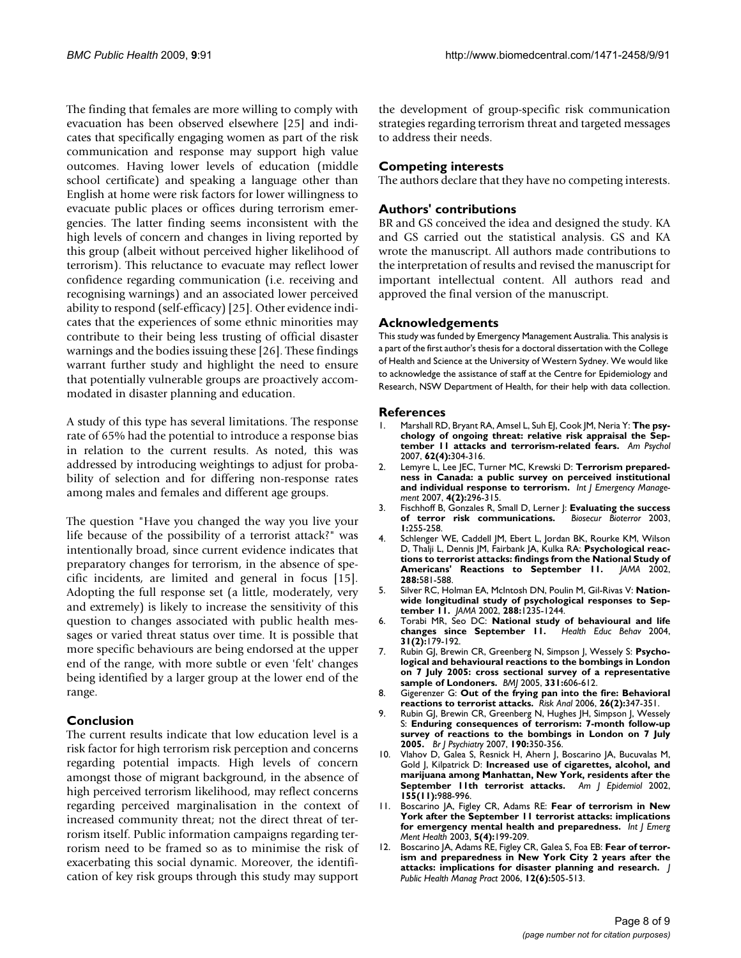The finding that females are more willing to comply with evacuation has been observed elsewhere [25] and indicates that specifically engaging women as part of the risk communication and response may support high value outcomes. Having lower levels of education (middle school certificate) and speaking a language other than English at home were risk factors for lower willingness to evacuate public places or offices during terrorism emergencies. The latter finding seems inconsistent with the high levels of concern and changes in living reported by this group (albeit without perceived higher likelihood of terrorism). This reluctance to evacuate may reflect lower confidence regarding communication (i.e. receiving and recognising warnings) and an associated lower perceived ability to respond (self-efficacy) [25]. Other evidence indicates that the experiences of some ethnic minorities may contribute to their being less trusting of official disaster warnings and the bodies issuing these [26]. These findings warrant further study and highlight the need to ensure that potentially vulnerable groups are proactively accommodated in disaster planning and education.

A study of this type has several limitations. The response rate of 65% had the potential to introduce a response bias in relation to the current results. As noted, this was addressed by introducing weightings to adjust for probability of selection and for differing non-response rates among males and females and different age groups.

The question "Have you changed the way you live your life because of the possibility of a terrorist attack?" was intentionally broad, since current evidence indicates that preparatory changes for terrorism, in the absence of specific incidents, are limited and general in focus [15]. Adopting the full response set (a little, moderately, very and extremely) is likely to increase the sensitivity of this question to changes associated with public health messages or varied threat status over time. It is possible that more specific behaviours are being endorsed at the upper end of the range, with more subtle or even 'felt' changes being identified by a larger group at the lower end of the range.

### **Conclusion**

The current results indicate that low education level is a risk factor for high terrorism risk perception and concerns regarding potential impacts. High levels of concern amongst those of migrant background, in the absence of high perceived terrorism likelihood, may reflect concerns regarding perceived marginalisation in the context of increased community threat; not the direct threat of terrorism itself. Public information campaigns regarding terrorism need to be framed so as to minimise the risk of exacerbating this social dynamic. Moreover, the identification of key risk groups through this study may support

the development of group-specific risk communication strategies regarding terrorism threat and targeted messages to address their needs.

# **Competing interests**

The authors declare that they have no competing interests.

#### **Authors' contributions**

BR and GS conceived the idea and designed the study. KA and GS carried out the statistical analysis. GS and KA wrote the manuscript. All authors made contributions to the interpretation of results and revised the manuscript for important intellectual content. All authors read and approved the final version of the manuscript.

#### **Acknowledgements**

This study was funded by Emergency Management Australia. This analysis is a part of the first author's thesis for a doctoral dissertation with the College of Health and Science at the University of Western Sydney. We would like to acknowledge the assistance of staff at the Centre for Epidemiology and Research, NSW Department of Health, for their help with data collection.

#### **References**

- 1. Marshall RD, Bryant RA, Amsel L, Suh EJ, Cook JM, Neria Y: **[The psy](http://www.ncbi.nlm.nih.gov/entrez/query.fcgi?cmd=Retrieve&db=PubMed&dopt=Abstract&list_uids=17516775)[chology of ongoing threat: relative risk appraisal the Sep](http://www.ncbi.nlm.nih.gov/entrez/query.fcgi?cmd=Retrieve&db=PubMed&dopt=Abstract&list_uids=17516775)[tember 11 attacks and terrorism-related fears.](http://www.ncbi.nlm.nih.gov/entrez/query.fcgi?cmd=Retrieve&db=PubMed&dopt=Abstract&list_uids=17516775)** *Am Psychol* 2007, **62(4):**304-316.
- 2. Lemyre L, Lee JEC, Turner MC, Krewski D: **Terrorism preparedness in Canada: a public survey on perceived institutional and individual response to terrorism.** *Int J Emergency Management* 2007, **4(2):**296-315.
- 3. Fischhoff B, Gonzales R, Small D, Lerner J: **[Evaluating the success](http://www.ncbi.nlm.nih.gov/entrez/query.fcgi?cmd=Retrieve&db=PubMed&dopt=Abstract&list_uids=15040205) [of terror risk communications.](http://www.ncbi.nlm.nih.gov/entrez/query.fcgi?cmd=Retrieve&db=PubMed&dopt=Abstract&list_uids=15040205)** *Biosecur Bioterror* 2003, **1:**255-258.
- 4. Schlenger WE, Caddell JM, Ebert L, Jordan BK, Rourke KM, Wilson D, Thalji L, Dennis JM, Fairbank JA, Kulka RA: **[Psychological reac](http://www.ncbi.nlm.nih.gov/entrez/query.fcgi?cmd=Retrieve&db=PubMed&dopt=Abstract&list_uids=12150669)[tions to terrorist attacks: findings from the National Study of](http://www.ncbi.nlm.nih.gov/entrez/query.fcgi?cmd=Retrieve&db=PubMed&dopt=Abstract&list_uids=12150669)** [Americans' Reactions to September 11.](http://www.ncbi.nlm.nih.gov/entrez/query.fcgi?cmd=Retrieve&db=PubMed&dopt=Abstract&list_uids=12150669) **288:**581-588.
- 5. Silver RC, Holman EA, McIntosh DN, Poulin M, Gil-Rivas V: **[Nation](http://www.ncbi.nlm.nih.gov/entrez/query.fcgi?cmd=Retrieve&db=PubMed&dopt=Abstract&list_uids=12215130)[wide longitudinal study of psychological responses to Sep](http://www.ncbi.nlm.nih.gov/entrez/query.fcgi?cmd=Retrieve&db=PubMed&dopt=Abstract&list_uids=12215130)[tember 11.](http://www.ncbi.nlm.nih.gov/entrez/query.fcgi?cmd=Retrieve&db=PubMed&dopt=Abstract&list_uids=12215130)** *JAMA* 2002, **288:**1235-1244.
- 6. Torabi MR, Seo DC: **[National study of behavioural and life](http://www.ncbi.nlm.nih.gov/entrez/query.fcgi?cmd=Retrieve&db=PubMed&dopt=Abstract&list_uids=15090120)** [changes since September 11.](http://www.ncbi.nlm.nih.gov/entrez/query.fcgi?cmd=Retrieve&db=PubMed&dopt=Abstract&list_uids=15090120) **31(2):**179-192.
- 7. Rubin GJ, Brewin CR, Greenberg N, Simpson J, Wessely S: **[Psycho](http://www.ncbi.nlm.nih.gov/entrez/query.fcgi?cmd=Retrieve&db=PubMed&dopt=Abstract&list_uids=16126821)logical and behavioural reactions to the bombings in London [on 7 July 2005: cross sectional survey of a representative](http://www.ncbi.nlm.nih.gov/entrez/query.fcgi?cmd=Retrieve&db=PubMed&dopt=Abstract&list_uids=16126821) [sample of Londoners.](http://www.ncbi.nlm.nih.gov/entrez/query.fcgi?cmd=Retrieve&db=PubMed&dopt=Abstract&list_uids=16126821)** *BMJ* 2005, **331:**606-612.
- 8. Gigerenzer G: **[Out of the frying pan into the fire: Behavioral](http://www.ncbi.nlm.nih.gov/entrez/query.fcgi?cmd=Retrieve&db=PubMed&dopt=Abstract&list_uids=16573625) [reactions to terrorist attacks.](http://www.ncbi.nlm.nih.gov/entrez/query.fcgi?cmd=Retrieve&db=PubMed&dopt=Abstract&list_uids=16573625)** *Risk Anal* 2006, **26(2):**347-351.
- 9. Rubin GJ, Brewin CR, Greenberg N, Hughes JH, Simpson J, Wessely S: **[Enduring consequences of terrorism: 7-month follow-up](http://www.ncbi.nlm.nih.gov/entrez/query.fcgi?cmd=Retrieve&db=PubMed&dopt=Abstract&list_uids=17401043) [survey of reactions to the bombings in London on 7 July](http://www.ncbi.nlm.nih.gov/entrez/query.fcgi?cmd=Retrieve&db=PubMed&dopt=Abstract&list_uids=17401043) [2005.](http://www.ncbi.nlm.nih.gov/entrez/query.fcgi?cmd=Retrieve&db=PubMed&dopt=Abstract&list_uids=17401043)** *Br J Psychiatry* 2007, **190:**350-356.
- 10. Vlahov D, Galea S, Resnick H, Ahern J, Boscarino JA, Bucuvalas M, Gold J, Kilpatrick D: **[Increased use of cigarettes, alcohol, and](http://www.ncbi.nlm.nih.gov/entrez/query.fcgi?cmd=Retrieve&db=PubMed&dopt=Abstract&list_uids=12034577) [marijuana among Manhattan, New York, residents after the](http://www.ncbi.nlm.nih.gov/entrez/query.fcgi?cmd=Retrieve&db=PubMed&dopt=Abstract&list_uids=12034577) [September 11th terrorist attacks.](http://www.ncbi.nlm.nih.gov/entrez/query.fcgi?cmd=Retrieve&db=PubMed&dopt=Abstract&list_uids=12034577)** *Am J Epidemiol* 2002, **155(11):**988-996.
- 11. Boscarino JA, Figley CR, Adams RE: **[Fear of terrorism in New](http://www.ncbi.nlm.nih.gov/entrez/query.fcgi?cmd=Retrieve&db=PubMed&dopt=Abstract&list_uids=14730761) [York after the September 11 terrorist attacks: implications](http://www.ncbi.nlm.nih.gov/entrez/query.fcgi?cmd=Retrieve&db=PubMed&dopt=Abstract&list_uids=14730761) [for emergency mental health and preparedness.](http://www.ncbi.nlm.nih.gov/entrez/query.fcgi?cmd=Retrieve&db=PubMed&dopt=Abstract&list_uids=14730761)** *Int J Emerg Ment Health* 2003, **5(4):**199-209.
- 12. Boscarino JA, Adams RE, Figley CR, Galea S, Foa EB: **[Fear of terror](http://www.ncbi.nlm.nih.gov/entrez/query.fcgi?cmd=Retrieve&db=PubMed&dopt=Abstract&list_uids=17041297)[ism and preparedness in New York City 2 years after the](http://www.ncbi.nlm.nih.gov/entrez/query.fcgi?cmd=Retrieve&db=PubMed&dopt=Abstract&list_uids=17041297) [attacks: implications for disaster planning and research.](http://www.ncbi.nlm.nih.gov/entrez/query.fcgi?cmd=Retrieve&db=PubMed&dopt=Abstract&list_uids=17041297)** *J Public Health Manag Pract* 2006, **12(6):**505-513.